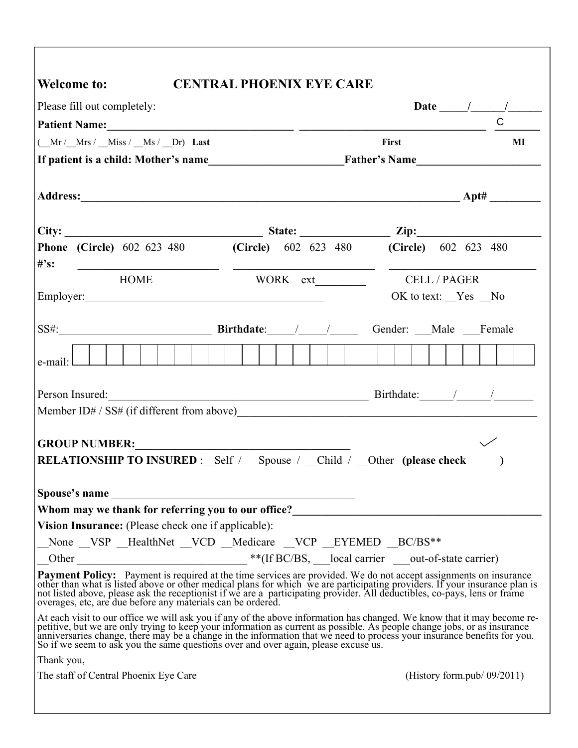|                                                                                                                                                                                                                                                                                                                                                                                                                                                                                            | <b>CENTRAL PHOENIX EYE CARE</b> |  |  |                    |       |  |  |  |                                |
|--------------------------------------------------------------------------------------------------------------------------------------------------------------------------------------------------------------------------------------------------------------------------------------------------------------------------------------------------------------------------------------------------------------------------------------------------------------------------------------------|---------------------------------|--|--|--------------------|-------|--|--|--|--------------------------------|
| Please fill out completely:                                                                                                                                                                                                                                                                                                                                                                                                                                                                |                                 |  |  |                    |       |  |  |  |                                |
| Patient Name: 1988 and 2008 and 2008 and 2008 and 2008 and 2008 and 2008 and 2008 and 2008 and 2008 and 2008 and 2008 and 2008 and 2008 and 2008 and 2008 and 2008 and 2008 and 2008 and 2008 and 2008 and 2008 and 2008 and 2                                                                                                                                                                                                                                                             |                                 |  |  |                    |       |  |  |  |                                |
| $(\underline{\hspace{1cm}} Mr / \underline{\hspace{1cm}} Mrs / \underline{\hspace{1cm}} Miss / \underline{\hspace{1cm}} Ms / \underline{\hspace{1cm}} Dr)$ Last                                                                                                                                                                                                                                                                                                                            |                                 |  |  |                    | First |  |  |  | MI                             |
| If patient is a child: Mother's name<br>Father's Name                                                                                                                                                                                                                                                                                                                                                                                                                                      |                                 |  |  |                    |       |  |  |  |                                |
|                                                                                                                                                                                                                                                                                                                                                                                                                                                                                            |                                 |  |  |                    |       |  |  |  |                                |
|                                                                                                                                                                                                                                                                                                                                                                                                                                                                                            |                                 |  |  |                    |       |  |  |  |                                |
|                                                                                                                                                                                                                                                                                                                                                                                                                                                                                            |                                 |  |  |                    |       |  |  |  |                                |
|                                                                                                                                                                                                                                                                                                                                                                                                                                                                                            |                                 |  |  |                    |       |  |  |  |                                |
| <b>Phone (Circle)</b> 602 623 480 <b>(Circle)</b> 602 623 480 <b>(Circle)</b> 602 623 480<br>$#$ 's:                                                                                                                                                                                                                                                                                                                                                                                       |                                 |  |  |                    |       |  |  |  |                                |
| <u> 1989 - Johann Barnett, fransk politik (d. 1989)</u><br>HOME                                                                                                                                                                                                                                                                                                                                                                                                                            |                                 |  |  |                    |       |  |  |  |                                |
|                                                                                                                                                                                                                                                                                                                                                                                                                                                                                            |                                 |  |  | OK to text: Yes No |       |  |  |  |                                |
|                                                                                                                                                                                                                                                                                                                                                                                                                                                                                            |                                 |  |  |                    |       |  |  |  |                                |
| SS#: SS#: Birthdate: / / / Gender: Male Female                                                                                                                                                                                                                                                                                                                                                                                                                                             |                                 |  |  |                    |       |  |  |  |                                |
|                                                                                                                                                                                                                                                                                                                                                                                                                                                                                            |                                 |  |  |                    |       |  |  |  |                                |
| e-mail:                                                                                                                                                                                                                                                                                                                                                                                                                                                                                    |                                 |  |  |                    |       |  |  |  |                                |
| <b>GROUP NUMBER:</b><br><b>RELATIONSHIP TO INSURED</b> : Self / Spouse / Child / Other (please check                                                                                                                                                                                                                                                                                                                                                                                       |                                 |  |  |                    |       |  |  |  |                                |
|                                                                                                                                                                                                                                                                                                                                                                                                                                                                                            |                                 |  |  |                    |       |  |  |  |                                |
|                                                                                                                                                                                                                                                                                                                                                                                                                                                                                            |                                 |  |  |                    |       |  |  |  |                                |
|                                                                                                                                                                                                                                                                                                                                                                                                                                                                                            |                                 |  |  |                    |       |  |  |  |                                |
|                                                                                                                                                                                                                                                                                                                                                                                                                                                                                            |                                 |  |  |                    |       |  |  |  |                                |
|                                                                                                                                                                                                                                                                                                                                                                                                                                                                                            |                                 |  |  |                    |       |  |  |  |                                |
| Spouse's name<br>Vision Insurance: (Please check one if applicable):<br>_None _VSP _HealthNet _VCD _Medicare _VCP _EYEMED _BC/BS**<br>Payment Policy: Payment is required at the time services are provided. We do not accept assignments on insurance<br>other than what is listed above or other medical plans for which we are participating providers. If your insurance plan is<br>not listed above, please ask the receptionist if we are a participating provider. All deductibles, |                                 |  |  |                    |       |  |  |  |                                |
| At each visit to our office we will ask you if any of the above information has changed. We know that it may become re-<br>petitive, but we are only trying to keep your information as current as possible. As people change jobs, or as insurance<br>anniversaries change, there may be a change in the information that we need to process your insurance<br>So if we seem to ask you the same questions over and over again, please excuse us.                                         |                                 |  |  |                    |       |  |  |  |                                |
| Thank you,<br>The staff of Central Phoenix Eye Care                                                                                                                                                                                                                                                                                                                                                                                                                                        |                                 |  |  |                    |       |  |  |  | (History form.pub/ $09/2011$ ) |

 $\mathsf{l}$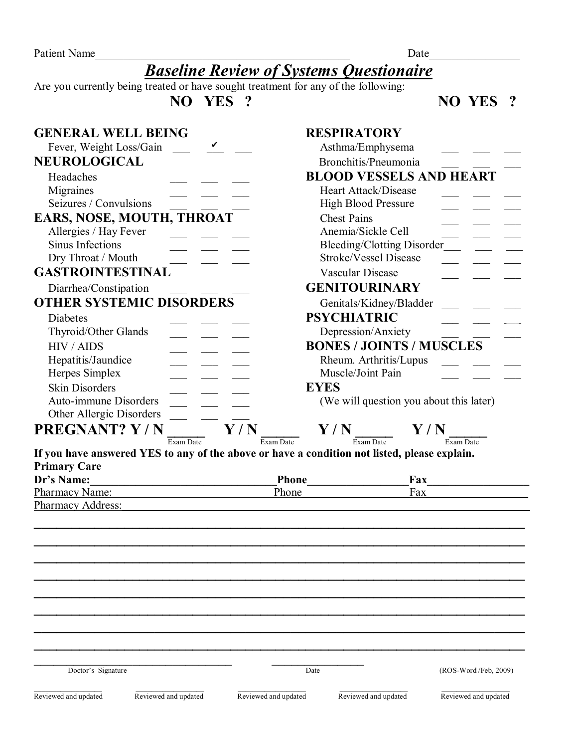Patient Name Learning and the set of the set of the set of the set of the set of the set of the set of the set of the set of the set of the set of the set of the set of the set of the set of the set of the set of the set o

## *Baseline Review of Systems Questionaire*

Are you currently being treated or have sought treatment for any of the following:

 **NO YES ? NO YES ?** 

| <b>GENERAL WELL BEING</b>                                                                                                                                                                                                      |                             | <b>RESPIRATORY</b>          |                                         |  |
|--------------------------------------------------------------------------------------------------------------------------------------------------------------------------------------------------------------------------------|-----------------------------|-----------------------------|-----------------------------------------|--|
| Fever, Weight Loss/Gain                                                                                                                                                                                                        |                             | Asthma/Emphysema            |                                         |  |
| NEUROLOGICAL                                                                                                                                                                                                                   |                             | Bronchitis/Pneumonia        |                                         |  |
| Headaches                                                                                                                                                                                                                      |                             |                             | <b>BLOOD VESSELS AND HEART</b>          |  |
| Migraines                                                                                                                                                                                                                      |                             | Heart Attack/Disease        |                                         |  |
| Seizures / Convulsions                                                                                                                                                                                                         |                             | <b>High Blood Pressure</b>  |                                         |  |
| EARS, NOSE, MOUTH, THROAT                                                                                                                                                                                                      |                             | <b>Chest Pains</b>          |                                         |  |
| Allergies / Hay Fever                                                                                                                                                                                                          |                             | Anemia/Sickle Cell          |                                         |  |
| Sinus Infections                                                                                                                                                                                                               |                             |                             | <b>Bleeding/Clotting Disorder</b>       |  |
| Dry Throat / Mouth                                                                                                                                                                                                             |                             | Stroke/Vessel Disease       |                                         |  |
| <b>GASTROINTESTINAL</b>                                                                                                                                                                                                        |                             | Vascular Disease            |                                         |  |
| Diarrhea/Constipation                                                                                                                                                                                                          |                             | <b>GENITOURINARY</b>        |                                         |  |
| <b>OTHER SYSTEMIC DISORDERS</b>                                                                                                                                                                                                |                             | Genitals/Kidney/Bladder     |                                         |  |
| Diabetes                                                                                                                                                                                                                       |                             | <b>PSYCHIATRIC</b>          |                                         |  |
| Thyroid/Other Glands                                                                                                                                                                                                           |                             | Depression/Anxiety          |                                         |  |
| <b>HIV / AIDS</b>                                                                                                                                                                                                              |                             |                             | <b>BONES / JOINTS / MUSCLES</b>         |  |
| Hepatitis/Jaundice                                                                                                                                                                                                             |                             | Rheum. Arthritis/Lupus      |                                         |  |
| Herpes Simplex                                                                                                                                                                                                                 |                             | Muscle/Joint Pain           |                                         |  |
| <b>Skin Disorders</b>                                                                                                                                                                                                          |                             | <b>EYES</b>                 |                                         |  |
| <b>Auto-immune Disorders</b>                                                                                                                                                                                                   |                             |                             | (We will question you about this later) |  |
| Other Allergic Disorders                                                                                                                                                                                                       |                             |                             |                                         |  |
| PREGNANT? Y/N                                                                                                                                                                                                                  | $\mathbf{Y}$ / $\mathbf{N}$ | $\mathbf{Y}$ / $\mathbf{N}$ | $\mathbf{Y}$ / $\mathbf{N}$             |  |
|                                                                                                                                                                                                                                | Exam Date<br>Exam Date      | Exam Date                   | Exam Date                               |  |
| If you have answered YES to any of the above or have a condition not listed, please explain.                                                                                                                                   |                             |                             |                                         |  |
| <b>Primary Care</b>                                                                                                                                                                                                            |                             |                             |                                         |  |
| Dr's Name:                                                                                                                                                                                                                     |                             | <b>Phone</b>                | Fax                                     |  |
| Pharmacy Name:                                                                                                                                                                                                                 | Phone                       |                             | Fax                                     |  |
| Pharmacy Address: National Address: National Address: National Address: National Address: National Address: National Address: National Address: National Address: National Address: National Address: National Address: Nation |                             |                             |                                         |  |
|                                                                                                                                                                                                                                |                             |                             |                                         |  |
|                                                                                                                                                                                                                                |                             |                             |                                         |  |
|                                                                                                                                                                                                                                |                             |                             |                                         |  |
|                                                                                                                                                                                                                                |                             |                             |                                         |  |
|                                                                                                                                                                                                                                |                             |                             |                                         |  |
|                                                                                                                                                                                                                                |                             |                             |                                         |  |
|                                                                                                                                                                                                                                |                             |                             |                                         |  |
|                                                                                                                                                                                                                                |                             |                             |                                         |  |
|                                                                                                                                                                                                                                |                             |                             |                                         |  |
|                                                                                                                                                                                                                                |                             |                             |                                         |  |
| Doctor's Signature                                                                                                                                                                                                             |                             | Date                        | (ROS-Word/Feb, 2009)                    |  |
|                                                                                                                                                                                                                                |                             |                             |                                         |  |
| Reviewed and updated<br>Reviewed and updated                                                                                                                                                                                   | Reviewed and updated        | Reviewed and updated        | Reviewed and updated                    |  |
|                                                                                                                                                                                                                                |                             |                             |                                         |  |
|                                                                                                                                                                                                                                |                             |                             |                                         |  |